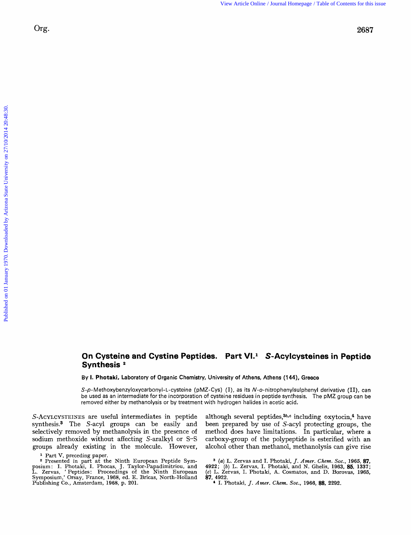## **On Cysteine and Cystine Peptides. Part VI.<sup>1</sup> S-Acylcysteines in Peptide Synthesis** *<sup>a</sup>*

By **1. Photaki,** Laboratory **of** Organic Chemistry, University **of** Athens, Athens **(144),** Greece

*S-p-* M **ethoxybenzyloxycarbonyl-** L-cysteine (pMZ- Cys) **(I),** as its N-o-nitrophenylsulphenyl derivative **(11),** can be used as an intermediate for the incorporation of cysteine residues in peptide synthesis. The pMZ group can be removed either **by** methanolysis or by treatment with hydrogen halides in acetic acid.

S-ACYLCYSTEINES are useful intermediates in peptide synthesis.<sup>3</sup> The S-acyl groups can be easily and selectively removed by methanolysis in the presence of sodium methoxide without affecting S-aralkyl or S-S groups already existing in the molecule. However,

<sup>2</sup> Presented in part at the Ninth European Peptide Symposium: I. Photaki, I. Phocas, J. Taylor-Papadimitriou, and L. Zervas, 'Peptides: Proceedings of the Ninth European Symposium,' Orsay, France, 1968, ed. E. Bricas, Nor Publishing Co., Amsterdam, 1968, p. 201.

although several peptides,<sup>36,c</sup> including oxytocin,<sup>4</sup> have been prepared by use of S-acyl protecting groups, the method does have limitations. In particular, where a carboxy-group of the polypeptide is esterified with an alcohol other than methanol, methanolysis can give rise

*(a)* L. Zervas and I. Photaki, *J.* Amer. Chem. *Soc..* 1965, **87,**  4922; (b) L. Zervas, I. Photaki, and N. Ghelis, 1963, **85,** 1337; *(c)* L. Zervas. I. Photaki, **A.** Cosmatos, and D. Borovas, 1965, **87,** 4922.

I. Photaki, *J.* Amer. Chem. *SOC.,* 1966, **88,** 2292.

*<sup>1</sup>* Part V, preceding paper.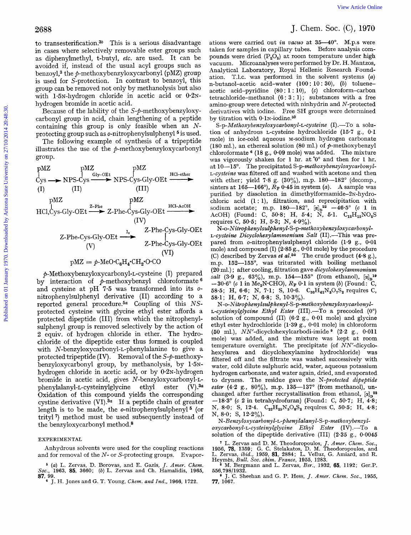to transesterification. $3b$  This is a serious disadvantage in cases where selectively removable ester groups such as diphenylmethyl, t-butyl, *etc.* are used. It can be avoided if, instead of the usual acyl groups such as benzoyl,<sup>3</sup> the  $\phi$ -methoxybenzyloxycarbonyl (pMZ) group is used for S-protection. In contrast to benzoyl, this group can be removed not only by methanolysis but also with 1.5N-hydrogen chloride in acetic acid or  $0.2N$ hydrogen bromide in acetic acid.

Because of the lability of the S-p-methoxybenzyloxycarbonyl group in acid, chain lengthening of a peptide containing this group is only feasible when an *N*protecting group such as *o*-nitrophenylsulphenyl<sup>5</sup> is used.

The following example of synthesis of a tripeptide illustrates the use of the  $p$ -methoxybenzyloxycarbonyl group.

| protecteding group such as o-ntrophenyisuphenyl           | 1s used.                    | con |
|-----------------------------------------------------------|-----------------------------|-----|
| The following example of synthesis of a tripeptide model) | mole                        |     |
| illustrates the use of the $p$ -methoxybenzyloxycarbonyl  | (180 m<br>chord<br>gravally |     |
| PMZ                                                       | pMZ                         | 10  |
| PMZ                                                       | 10                          |     |
| CMZ                                                       | 10                          |     |
| CMZ                                                       | 110                         |     |
| CMZ                                                       | 12                          |     |
| CMZ                                                       | 12                          |     |
| CMZ                                                       | 130                         |     |
| CMZ                                                       | 1410                        |     |
| CMZ                                                       | 15                          |     |
| CMZ                                                       | 16                          |     |
| CMZ                                                       | 17                          |     |
| PMZ                                                       | 18                          |     |
| CMZ                                                       | 180                         |     |
| CMZ                                                       | 19                          |     |
| CMZ                                                       | 10                          |     |
| CMZ                                                       | 110                         |     |
| OMZ                                                       | 110                         |     |
| OMZ                                                       | 110                         |     |
| OMZ                                                       | 110                         |     |
| OMZ                                                       | 110                         |     |
| OMZ                                                       | 110                         |     |
| OMZ                                                       | 110                         |     |
| OMZ                                                       | 110                         |     |
| OMZ                                                       | 110                         |     |
| OMZ                                                       | 10                          |     |
| OMZ                                                       | 110                         |     |
| OMZ                                                       |                             |     |

**9-Methoxybenzyloxycarbonyl-L-cysteine** (I) prepared by interaction of  $\phi$ -methoxybenzyl chloroformate  $\theta$ and cysteine at pH **7.5** was transformed into its onitrophenylsulphenyl derivative (11) according to a reported general procedure.5a Coupling of this *NS*protected cysteine with glycine ethyl ester affords a protected dipeptide (111) from which the nitrophenylsulphenyl group is removed selectively by the action of 2 equiv. of hydrogen chloride in ether. The hydrochloride of the dipeptide ester thus formed is coupled with **N-benzyloxycarbonyl-L-phenylalanine** to give a protected tripeptide (IV). Removal of the  $S-\rho$ -methoxybenzyloxycarbonyl group, by methanolysis, by 1.5Nhydrogen chloride in acetic acid, or by  $0.2N$ -hydrogen bromide in acetic acid, gives N-benzyloxycarbony1-L**phenylalanyl-L-cysteinylglycine** ethyl ester (V) *.3a*  Oxidation of this compound yields the corresponding cystine derivative **(VI).3a** If a peptide chain of greater length is to be made, the  $o$ -nitrophenylsulphenyl<sup>5</sup> (or trityl') method must be used subsequently instead of the benzyloxycarbonyl method.8

## EXPERIMENTAL

Anhydrous solvents were used for the coupling reactions and for removal of the *N-* or S-protecting groups. Evapor-

*<sup>6</sup>(a)* L. Zervas, D. Borovas, and E. Gazis, *J. Amer. Chem. Soc.,* **1963, 85, 3660;** *(b)* **L.** Zervas and Ch. Hamalidis, **1965, 87,** 

J. H. Jones and G. T. Young, *Chem. and Ind.,* **1966, 1722.** 

## J. Chem. SOC. (C), **1970**

ations were carried out in *vacuo* at 35-40'. M.p.s were taken for samples in capillary tubes. Before analysis compounds were dried  $(P_2O_5)$  at room temperature under high vacuum. Microanalyses were performed by Dr. H. Mantzos, Analytical Laboratory, Royal Hellenic Research Foundation, T.1.c. was performed in the solvent systems *(a)*  n-butanol-acetic acid-water **(100** : **10** : **30),** (b) tolueneacetic acid-pyridine (80 : **1** : **lo),** (c) chloroform-carbon tetrachloride-methanol **(6** : **3** : 1) ; substances with a free amino-group were detected with ninhydrin and N-protected derivatives with iodine. Free SH groups were determined by titration with  $0.1$ N-iodine. $^{3b}$ 

S-p-Methoxybenzyloxycarbonyl-L-cysteine (I) .- To a solution of anhydrous L-cysteine hydrochloride **(15.7** g., **0.1**  mole) in ice-cold aqueous M-sodium hydrogen carbonate (180 ml.), an ethereal solution (80 ml.) of  $p$ -methoxybenzyl chloroformate **(18** g., **0.09** mole) was added. The mixture was vigorously shaken for **1** hr. at'O' and then for 1 hr. at 10-15°. The precipitated S-p-methoxybenzyloxycarbonyl-L-cysieine was filtered off and washed with acetone and then with ether; yield 7.8 g.  $(30\%)$ , m.p.  $180-182^{\circ}$  (decomp., sinters at  $165-166^{\circ}$ ,  $\overline{R}_R$  0.45 in system (a). A sample was purified by dissolution in dimethylformamide-2N-hydrochloric acid **(1** : l), filtration, and reprecipitation with sodium acetate; m.p.  $180-182^{\circ}$ ,  $[\alpha]_D^{22}$  -46.5° (c 1 in  $\text{AcOH})$  (Found: C,  $\text{50-8}; \text{ H, 5-4}; \text{ \ } \tilde{\text{N}}, \text{ \ } \text{5-1}. \text{ \ } \text{C}_{12} \text{H}_{15} \text{NO}_5$ requires **C,** 50.5; H, **5.3;** N, **4.9%).**  2088<br>
2088<br>
1. Chern, Chern, Saint-Baria (and Suivanninge alians cent extrict on 18. Dec. Co.) (1970.<br>
in distribution of the main of the main of the main of the main of the main of the main of the main of the main of the

 $N$ -o-Nitrophenylsulphenyl-S-p-methoxybenzyloxycarbonyl-L-cysteine Dicyclohexylammonium Salt *(II)*.-This was prepared from o-nitrophenylsulphenyl chloride **(1.9** g., **0.01**  mole) and compound (I) (2.85 g., **0.01** mole) by the procedure **(C)** described by Zervas et *dsa* The crude product **(4.8** g.), m.p. **152-155",** was triturated with boiling methanol  $(20$  ml.); after cooling, filtration gave dicyclohexylammonium *salt* (3.9 g., 63%), m.p. 154-155° (from ethanol),  $[\alpha]_n^{19}$  $-30.6^{\circ}$  (c 1 in Me<sub>2</sub>N<sup>·</sup>CHO),  $R_F$  0.1 in system (b) (Found: C, **58-5;** H, **6.6;** N, **7.1;** S, **10.6.** C,,H,,N,O,S, requires **C,**  58.1; H, **6.7;** N, **6.8;** S, **10.3%).** 

*N-o-Nitro~henylsul~henyl-S-p-methoxybenzyloxycarbonyl-*L-cysteinylglycine Ethyl Ester (111) **.-TO** a precooled (0') solution of compound (11) **(6.2** g., 0.01 mole) and glycine ethyl ester hydrochloride **(1.39** g., **0-01** mole) in chloroform (50 ml.), NN'-dicyclohexylcarbodi-imide (2-2 g., **0.01 1**  mole) was added, and the mixture was kept at room temperature overnight. The precipitate (of  $NN'$ -dicyclohexylurea and dicyclohexylamine hydrochloride) was filtered off and the filtrate was washed successively with water, cold dilute sulphuric acid, water, aqueous potassium hydrogen carbonate, and water again, dried, and evaporated to dryness. The residue gave the N-protected dipeptide ester **(4.2 g., 80%),** m.p. **135-137"** (from methanol), unchanged after further recrystallisation from ethanol,  $\alpha$ <sup>23</sup> -18.3' (c **2** in tetrahydrofuran) (Found: **C, 50-7;** H, **4-8;**  N, **8.0;** S, **12.4. C,zH25N,0,S2** requires **C,** *50.5;* H, 4-8; N, **8.0;** S, 12.2%).

N-Benzyloxycarbonyl-L-phenylalanyl-S-p-methoxybenzyl*oxycarbonyl-L-cysteinylglycine* Ethyl Ester (IV) .-To a solution **of** the dipeptide derivative (111) **(2.35** g., **0.0045** 

\* M. Bergmann and L. Zervas, *Ber.,* **1932, 65, 1192;** Ger.P. **556,79811932.** 

J. C. Sheehan and G. P. Hess, *J. Amer. Chem. SOC.,* **1955, 77, 1067.** 

solution of the dipeptide derivative (III) (2:35 g., 0:0045<br>
<sup>7</sup> L. Zervas and D. M. Theodoropoulos, *J. Amer. Chem. Soc.*, <br> **1956, 78,** 1359; G. C. Stelakatos, D. M. Theodoropoulos, and L. Zervas, *ibid.,* **1959, 81, 2884; L.** Velluz, G. Amiard, and R. Heymks, *Bull. Soc. chim. France,* **1955, 1283.**